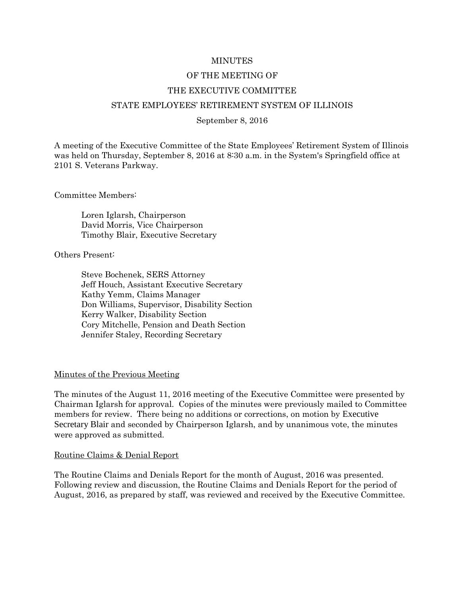### MINUTES

### OF THE MEETING OF

### THE EXECUTIVE COMMITTEE

### STATE EMPLOYEES' RETIREMENT SYSTEM OF ILLINOIS

#### September 8, 2016

A meeting of the Executive Committee of the State Employees' Retirement System of Illinois was held on Thursday, September 8, 2016 at 8:30 a.m. in the System's Springfield office at 2101 S. Veterans Parkway.

Committee Members:

Loren Iglarsh, Chairperson David Morris, Vice Chairperson Timothy Blair, Executive Secretary

Others Present:

Steve Bochenek, SERS Attorney Jeff Houch, Assistant Executive Secretary Kathy Yemm, Claims Manager Don Williams, Supervisor, Disability Section Kerry Walker, Disability Section Cory Mitchelle, Pension and Death Section Jennifer Staley, Recording Secretary

### Minutes of the Previous Meeting

The minutes of the August 11, 2016 meeting of the Executive Committee were presented by Chairman Iglarsh for approval. Copies of the minutes were previously mailed to Committee members for review. There being no additions or corrections, on motion by Executive Secretary Blair and seconded by Chairperson Iglarsh, and by unanimous vote, the minutes were approved as submitted.

#### Routine Claims & Denial Report

The Routine Claims and Denials Report for the month of August, 2016 was presented. Following review and discussion, the Routine Claims and Denials Report for the period of August, 2016, as prepared by staff, was reviewed and received by the Executive Committee.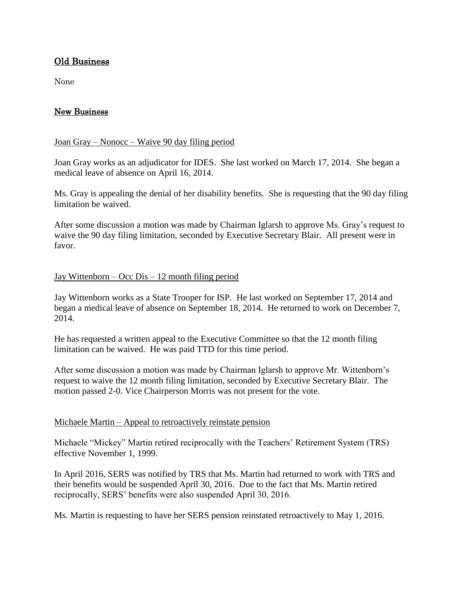# Old Business

None

# New Business

## Joan Gray – Nonocc – Waive 90 day filing period

Joan Gray works as an adjudicator for IDES. She last worked on March 17, 2014. She began a medical leave of absence on April 16, 2014.

Ms. Gray is appealing the denial of her disability benefits. She is requesting that the 90 day filing limitation be waived.

After some discussion a motion was made by Chairman Iglarsh to approve Ms. Gray's request to waive the 90 day filing limitation, seconded by Executive Secretary Blair. All present were in favor.

## Jay Wittenborn – Occ Dis – 12 month filing period

Jay Wittenborn works as a State Trooper for ISP. He last worked on September 17, 2014 and began a medical leave of absence on September 18, 2014. He returned to work on December 7, 2014.

He has requested a written appeal to the Executive Committee so that the 12 month filing limitation can be waived. He was paid TTD for this time period.

After some discussion a motion was made by Chairman Iglarsh to approve Mr. Wittenborn's request to waive the 12 month filing limitation, seconded by Executive Secretary Blair. The motion passed 2-0. Vice Chairperson Morris was not present for the vote.

## Michaele Martin – Appeal to retroactively reinstate pension

Michaele "Mickey" Martin retired reciprocally with the Teachers' Retirement System (TRS) effective November 1, 1999.

In April 2016, SERS was notified by TRS that Ms. Martin had returned to work with TRS and their benefits would be suspended April 30, 2016. Due to the fact that Ms. Martin retired reciprocally, SERS' benefits were also suspended April 30, 2016.

Ms. Martin is requesting to have her SERS pension reinstated retroactively to May 1, 2016.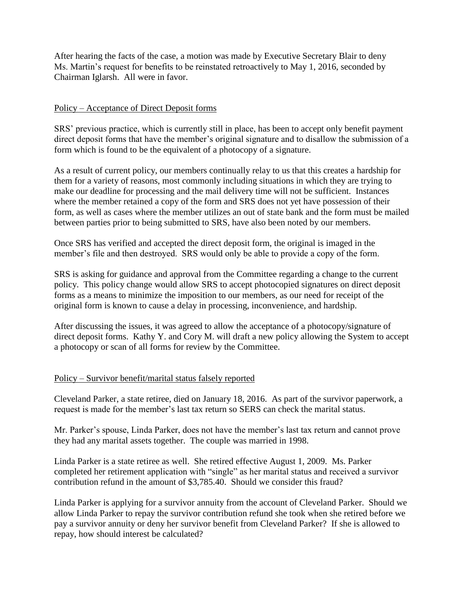After hearing the facts of the case, a motion was made by Executive Secretary Blair to deny Ms. Martin's request for benefits to be reinstated retroactively to May 1, 2016, seconded by Chairman Iglarsh. All were in favor.

# Policy – Acceptance of Direct Deposit forms

SRS' previous practice, which is currently still in place, has been to accept only benefit payment direct deposit forms that have the member's original signature and to disallow the submission of a form which is found to be the equivalent of a photocopy of a signature.

As a result of current policy, our members continually relay to us that this creates a hardship for them for a variety of reasons, most commonly including situations in which they are trying to make our deadline for processing and the mail delivery time will not be sufficient. Instances where the member retained a copy of the form and SRS does not yet have possession of their form, as well as cases where the member utilizes an out of state bank and the form must be mailed between parties prior to being submitted to SRS, have also been noted by our members.

Once SRS has verified and accepted the direct deposit form, the original is imaged in the member's file and then destroyed. SRS would only be able to provide a copy of the form.

SRS is asking for guidance and approval from the Committee regarding a change to the current policy. This policy change would allow SRS to accept photocopied signatures on direct deposit forms as a means to minimize the imposition to our members, as our need for receipt of the original form is known to cause a delay in processing, inconvenience, and hardship.

After discussing the issues, it was agreed to allow the acceptance of a photocopy/signature of direct deposit forms. Kathy Y. and Cory M. will draft a new policy allowing the System to accept a photocopy or scan of all forms for review by the Committee.

## Policy – Survivor benefit/marital status falsely reported

Cleveland Parker, a state retiree, died on January 18, 2016. As part of the survivor paperwork, a request is made for the member's last tax return so SERS can check the marital status.

Mr. Parker's spouse, Linda Parker, does not have the member's last tax return and cannot prove they had any marital assets together. The couple was married in 1998.

Linda Parker is a state retiree as well. She retired effective August 1, 2009. Ms. Parker completed her retirement application with "single" as her marital status and received a survivor contribution refund in the amount of \$3,785.40. Should we consider this fraud?

Linda Parker is applying for a survivor annuity from the account of Cleveland Parker. Should we allow Linda Parker to repay the survivor contribution refund she took when she retired before we pay a survivor annuity or deny her survivor benefit from Cleveland Parker? If she is allowed to repay, how should interest be calculated?